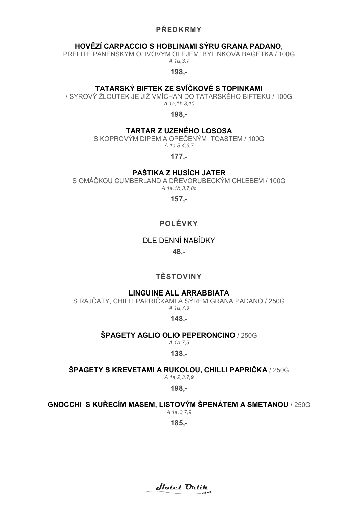### PŘEDKRMY

### HOVĚZÍ CARPACCIO S HOBLINAMI SÝRU GRANA PADANO,

PŘELITÉ PANENSKÝM OLIVOVÝM OLEJEM, BYLINKOVÁ BAGETKA / 100G A 1a,3,7

198,-

### TATARSKÝ BIFTEK ZE SVÍČKOVÉ S TOPINKAMI

/ SYROVÝ ŽLOUTEK JE JIŽ VMÍCHÁN DO TATARSKÉHO BIFTEKU / 100G A 1a,1b,3,10

198,-

### TARTAR Z Z UZENÉHO LOSOSA

S KOPROVÝM DIPEM A OPEČENÝM TOASTEM / 100G A 1a,3,4,6,7

177,-

### PAŠTIKA Z HUSÍCH JATER

S OMÁČKOU CUMBERLAND A DŘEVORUBECKÝM CHLEBEM / 100G A 1a,1b,3,7,8c

157,-

# POLÉVKY

### DLE DENNÍ NABÍDKY

48,-

# TĚSTOVINY

### LINGUINE ALL ARRABBIATA ARRABBIATA

S RAJČATY, CHILLI PAPRIČKAMI A SÝREM GRANA PADANO / 250G A 1a,7,9

148,-

#### **ŠPAGETY AGLIO OLIO PEPERONCINO / 250G**

A 1a,7,9 138,-

### **ŚPAGETY S KREVETAMI A RUKOLOU, CHILLI PAPRIČKA / 250G**

A 1a,2,3,7,9

198,-

### GNOCCHI S KURECIM MASEM, LISTOVÝM ŠPENÁTEM A SMETANOU / 250G

A 1a,3,7,9

Hotel Orlik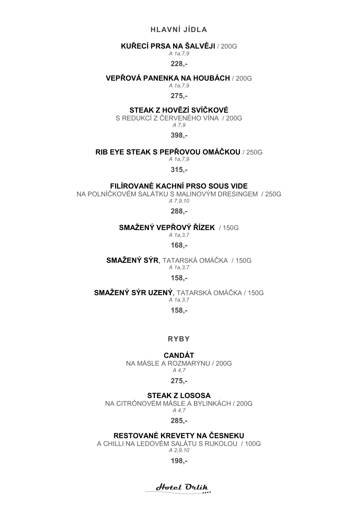# HLAVNÍ JÍDLA

### KUŘECÍ PRSA NA ŠALVĚJI / 200G

A 1a,7,9

### 228,-

### VEPŘOVÁ PANENKA NA HOUBÁCH / 200G

A 1a,7,9

### 275,-

# STEAK Z HOVĚZÍ SVÍČKOVÉ

S REDUKCÍ Z ČERVENÉHO VÍNA / 200G A 7,9

398,-

#### RIB EYE STEAK S PEPŘOVOU OMÁČKOU / 250G

A 1a,7,9

315,-

### FILÍROVANÉ KACHNÍ PRSO SOUS VIDE

NA POLNÍČKOVÉM SALÁTKU S MALINOVÝM DRESINGEM / 250G A 7,9,10

288,-

### SMAŻENÝ VEPROVÝ ŘÍZEK / 150G

A 1a,3,7

168,-

SMAŽENÝ SÝR , TATARSKÁ OMÁČKA / 150G A 1a,3,7

### 158,-

### **SMAŽENÝ SÝR UZENÝ**, TATARSKÁ OMÁČKA / 150G

A 1a,3,7

158,-

### RYBY

# CANDÁT

NA MÁSLE A ROZMARÝNU ROZMARÝNU / 200G A 4,7

### 275,-

# STEAK Z LOSOSA

NA CITRÓNOVÉM MÁSLE A BYLINKÁCH / 200G A 4,7

285,-

### RESTOVANÉ KREVETY NA ČESNEKU

A CHILLI NA NA LEDOVÉM SALÁTU S RUKOLOU / 100G A 2,9,10

Hotel Orlik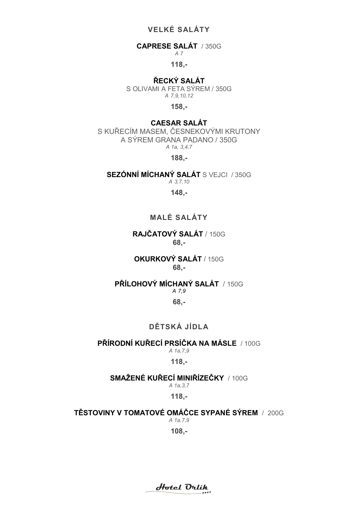# VELKÉ SALÁTY

# CAPRESE SALÁT / 350G

A 7

118,-

# ŘECKÝ SALÁT

S OLIVAMI A FETA SÝREM / 350G A 7,9,10,12

158,-

# CAESAR SALÁT

S KUŘECÍM MASEM, ČESNEKOVÝMI KRUTONY A SÝREM GRANA PADANO / 350G A 1a, 3,4,7

188,-

SEZÓNNÍ MÍCHANÝ SALÁT S VEJCI / 350G A 3,7,10

# 148,-

# MALÉ SALÁTY

# RAJČATOVÝ SALÁT / 150G 68,-

# OKURKOVÝ SALÁT / 150G 68,-

# PŘÍLOHOVÝ MÍCHANÝ SALÁT / 150G

### A 7,9

### 68,-

# DĚTSKÁ JÍDLA

# PŘÍRODNÍ KUŘECÍ PRSÍČKA NA MÁSLE / 100G

# A 1a,7,9

# 118,-

#### SMAŽENÉ KUŘECÍ MINIŘÍZEČKY / 100G A 1a,3,7

118,-

# **TÉSTOVINY V TOMATOVÉ OMÁČCE SYPANÉ SÝREM / 200G**

A 1a,7,9

Hotel Orlik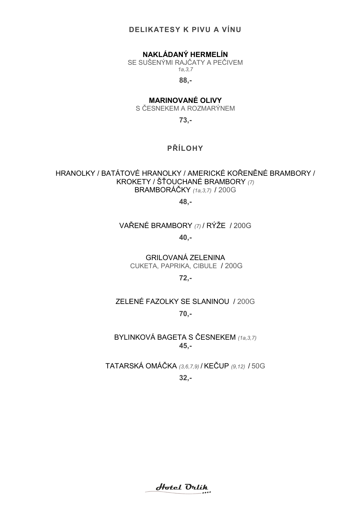### DELIKATE DELIKATESY K PIVU A VÍNU

# NAKLÁDANÝ HERMELÍN

SE SUŠENÝMI RAJČATY A PEČIVEM A PEČIVEM1a,3,7

88,-

# MARINOVANÉ OLIVY

S ČESNEKEM A ROZMARÝNEM

73,-

# PŘÍLOHY

# HRANOLKY / BATÁTOVÉ HRANOLKY / AMERICKÉ KOŘENĚNÉ BRAMBORY / KROKETY / ŠŤOUCHANÉ BRAMBORY <sub>(7)</sub> BRAMBORÁČKY (1a,3,7) / 200G

48,-

### VAŘENÉ BRAMBORY (7) / RÝŽE / 200G

40,-

GRILOVANÁ ZELENINA CUKETA, PAPRIKA, CIBULE / 200G

72,-

# ZELENÉ FAZOLKY SE SLANINOU / 200G

70,-

BYLINKOVÁ BAGETA S ČESNEKEM (1a,3,7) 45,-

TATARSKÁ OMÁČKA TATARSKÁ (3,6,7,9) / KEČUP (9,12) / 50G 0G32,-

Hotel Drlik